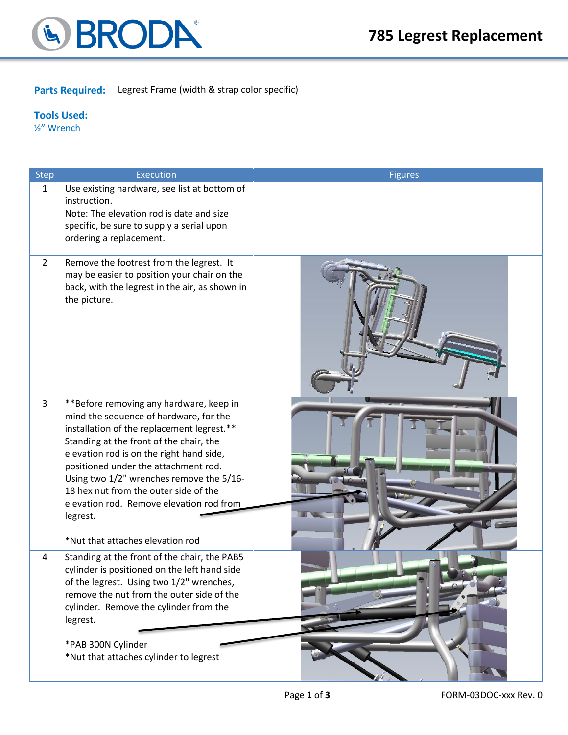

### **Parts Required:** Legrest Frame (width & strap color specific)

#### **Tools Used:**

½" Wrench

| <b>Step</b>  | <b>Execution</b>                                                                                                                                                                                                                                                                                                                                                                                                                                | <b>Figures</b> |
|--------------|-------------------------------------------------------------------------------------------------------------------------------------------------------------------------------------------------------------------------------------------------------------------------------------------------------------------------------------------------------------------------------------------------------------------------------------------------|----------------|
| $\mathbf{1}$ | Use existing hardware, see list at bottom of<br>instruction.<br>Note: The elevation rod is date and size<br>specific, be sure to supply a serial upon<br>ordering a replacement.                                                                                                                                                                                                                                                                |                |
| $2^{\circ}$  | Remove the footrest from the legrest. It<br>may be easier to position your chair on the<br>back, with the legrest in the air, as shown in<br>the picture.                                                                                                                                                                                                                                                                                       |                |
| 3            | **Before removing any hardware, keep in<br>mind the sequence of hardware, for the<br>installation of the replacement legrest.**<br>Standing at the front of the chair, the<br>elevation rod is on the right hand side,<br>positioned under the attachment rod.<br>Using two 1/2" wrenches remove the 5/16-<br>18 hex nut from the outer side of the<br>elevation rod. Remove elevation rod from<br>legrest.<br>*Nut that attaches elevation rod |                |
| 4            | Standing at the front of the chair, the PAB5<br>cylinder is positioned on the left hand side<br>of the legrest. Using two 1/2" wrenches,<br>remove the nut from the outer side of the<br>cylinder. Remove the cylinder from the<br>legrest.<br>*PAB 300N Cylinder<br>*Nut that attaches cylinder to legrest                                                                                                                                     |                |

**Selling** 

<u>and the second second</u>

ш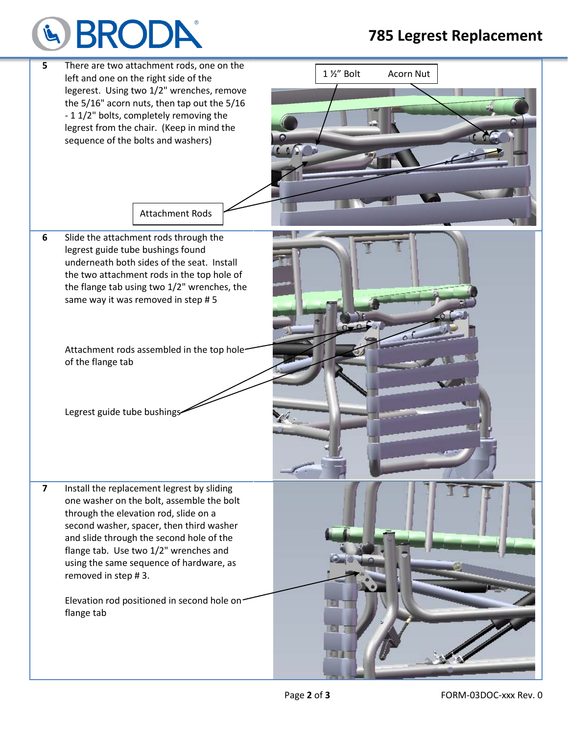# LA BRODP

## **785 Legrest Replacement**